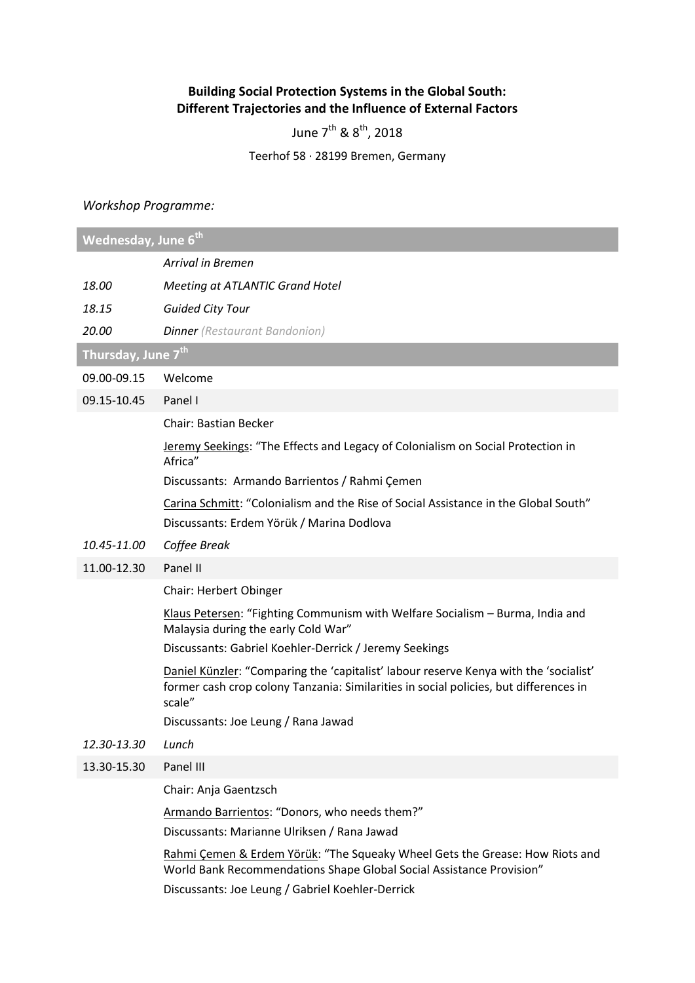## **Building Social Protection Systems in the Global South: Different Trajectories and the Influence of External Factors**

June  $7^{\text{th}}$  &  $8^{\text{th}}$ , 2018

Teerhof 58 ∙ 28199 Bremen, Germany

## *Workshop Programme:*

| Wednesday, June 6th            |                                                                                                                                                                                                          |  |
|--------------------------------|----------------------------------------------------------------------------------------------------------------------------------------------------------------------------------------------------------|--|
|                                | <b>Arrival in Bremen</b>                                                                                                                                                                                 |  |
| 18.00                          | <b>Meeting at ATLANTIC Grand Hotel</b>                                                                                                                                                                   |  |
| 18.15                          | <b>Guided City Tour</b>                                                                                                                                                                                  |  |
| 20.00                          | <b>Dinner</b> (Restaurant Bandonion)                                                                                                                                                                     |  |
| Thursday, June 7 <sup>th</sup> |                                                                                                                                                                                                          |  |
| 09.00-09.15                    | Welcome                                                                                                                                                                                                  |  |
| 09.15-10.45                    | Panel I                                                                                                                                                                                                  |  |
|                                | <b>Chair: Bastian Becker</b>                                                                                                                                                                             |  |
|                                | Jeremy Seekings: "The Effects and Legacy of Colonialism on Social Protection in<br>Africa"                                                                                                               |  |
|                                | Discussants: Armando Barrientos / Rahmi Çemen                                                                                                                                                            |  |
|                                | Carina Schmitt: "Colonialism and the Rise of Social Assistance in the Global South"<br>Discussants: Erdem Yörük / Marina Dodlova                                                                         |  |
| 10.45-11.00                    | Coffee Break                                                                                                                                                                                             |  |
| 11.00-12.30                    | Panel II                                                                                                                                                                                                 |  |
|                                | Chair: Herbert Obinger                                                                                                                                                                                   |  |
|                                | Klaus Petersen: "Fighting Communism with Welfare Socialism - Burma, India and<br>Malaysia during the early Cold War"                                                                                     |  |
|                                | Discussants: Gabriel Koehler-Derrick / Jeremy Seekings                                                                                                                                                   |  |
|                                | Daniel Künzler: "Comparing the 'capitalist' labour reserve Kenya with the 'socialist'<br>former cash crop colony Tanzania: Similarities in social policies, but differences in<br>scale"                 |  |
|                                | Discussants: Joe Leung / Rana Jawad                                                                                                                                                                      |  |
| 12.30-13.30                    | Lunch                                                                                                                                                                                                    |  |
| 13.30-15.30                    | Panel III                                                                                                                                                                                                |  |
|                                | Chair: Anja Gaentzsch                                                                                                                                                                                    |  |
|                                | Armando Barrientos: "Donors, who needs them?"<br>Discussants: Marianne Ulriksen / Rana Jawad                                                                                                             |  |
|                                | Rahmi Çemen & Erdem Yörük: "The Squeaky Wheel Gets the Grease: How Riots and<br>World Bank Recommendations Shape Global Social Assistance Provision"<br>Discussants: Joe Leung / Gabriel Koehler-Derrick |  |